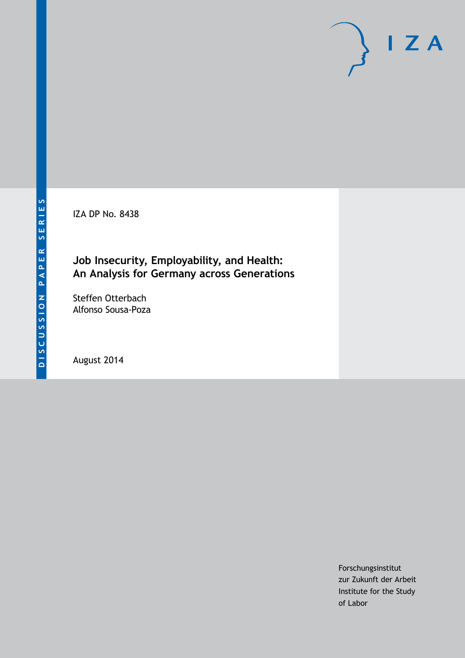IZA DP No. 8438

# **Job Insecurity, Employability, and Health: An Analysis for Germany across Generations**

Steffen Otterbach Alfonso Sousa-Poza

August 2014

Forschungsinstitut zur Zukunft der Arbeit Institute for the Study of Labor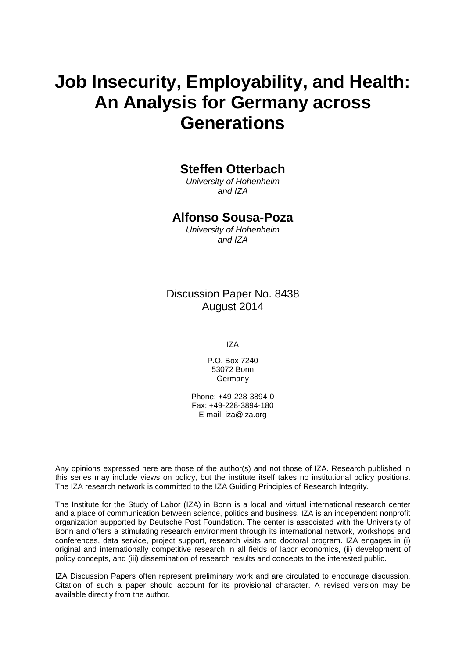# **Job Insecurity, Employability, and Health: An Analysis for Germany across Generations**

# **Steffen Otterbach**

*University of Hohenheim and IZA*

## **Alfonso Sousa-Poza**

*University of Hohenheim and IZA*

Discussion Paper No. 8438 August 2014

IZA

P.O. Box 7240 53072 Bonn Germany

Phone: +49-228-3894-0 Fax: +49-228-3894-180 E-mail: [iza@iza.org](mailto:iza@iza.org)

Any opinions expressed here are those of the author(s) and not those of IZA. Research published in this series may include views on policy, but the institute itself takes no institutional policy positions. The IZA research network is committed to the IZA Guiding Principles of Research Integrity.

The Institute for the Study of Labor (IZA) in Bonn is a local and virtual international research center and a place of communication between science, politics and business. IZA is an independent nonprofit organization supported by Deutsche Post Foundation. The center is associated with the University of Bonn and offers a stimulating research environment through its international network, workshops and conferences, data service, project support, research visits and doctoral program. IZA engages in (i) original and internationally competitive research in all fields of labor economics, (ii) development of policy concepts, and (iii) dissemination of research results and concepts to the interested public.

<span id="page-1-0"></span>IZA Discussion Papers often represent preliminary work and are circulated to encourage discussion. Citation of such a paper should account for its provisional character. A revised version may be available directly from the author.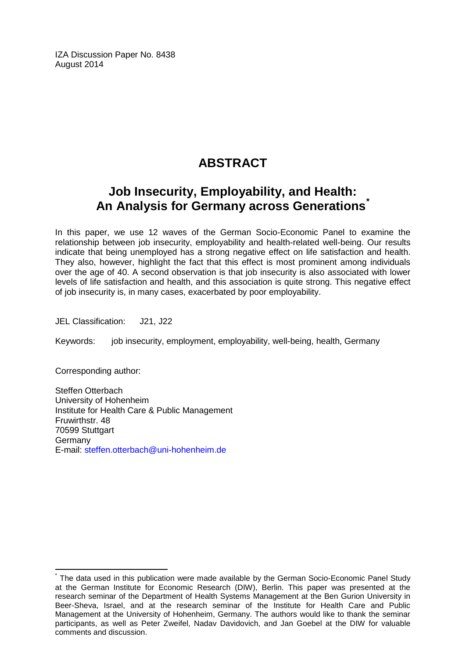IZA Discussion Paper No. 8438 August 2014

# **ABSTRACT**

# **Job Insecurity, Employability, and Health: An Analysis for Germany across Generations[\\*](#page-1-0)**

In this paper, we use 12 waves of the German Socio-Economic Panel to examine the relationship between job insecurity, employability and health-related well-being. Our results indicate that being unemployed has a strong negative effect on life satisfaction and health. They also, however, highlight the fact that this effect is most prominent among individuals over the age of 40. A second observation is that job insecurity is also associated with lower levels of life satisfaction and health, and this association is quite strong. This negative effect of job insecurity is, in many cases, exacerbated by poor employability.

JEL Classification: J21, J22

Keywords: job insecurity, employment, employability, well-being, health, Germany

Corresponding author:

Steffen Otterbach University of Hohenheim Institute for Health Care & Public Management Fruwirthstr. 48 70599 Stuttgart Germany E-mail: [steffen.otterbach@uni-hohenheim.de](mailto:steffen.otterbach@uni-hohenheim.de)

The data used in this publication were made available by the German Socio-Economic Panel Study at the German Institute for Economic Research (DIW), Berlin. This paper was presented at the research seminar of the Department of Health Systems Management at the Ben Gurion University in Beer-Sheva, Israel, and at the research seminar of the Institute for Health Care and Public Management at the University of Hohenheim, Germany. The authors would like to thank the seminar participants, as well as Peter Zweifel, Nadav Davidovich, and Jan Goebel at the DIW for valuable comments and discussion.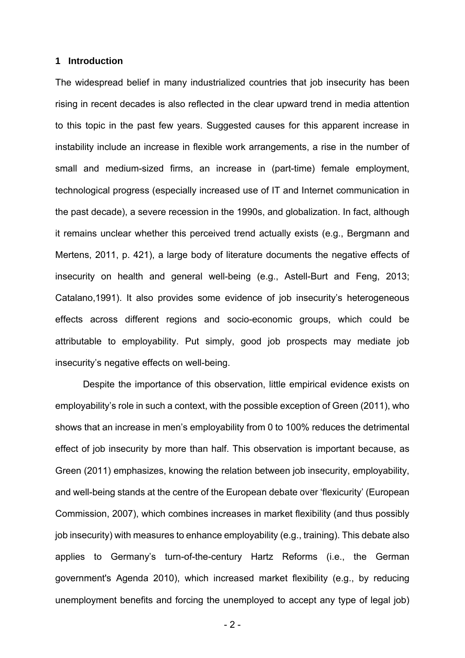#### **1 Introduction**

The widespread belief in many industrialized countries that job insecurity has been rising in recent decades is also reflected in the clear upward trend in media attention to this topic in the past few years. Suggested causes for this apparent increase in instability include an increase in flexible work arrangements, a rise in the number of small and medium-sized firms, an increase in (part-time) female employment, technological progress (especially increased use of IT and Internet communication in the past decade), a severe recession in the 1990s, and globalization. In fact, although it remains unclear whether this perceived trend actually exists (e.g., Bergmann and Mertens, 2011, p. 421), a large body of literature documents the negative effects of insecurity on health and general well-being (e.g., Astell-Burt and Feng, 2013; Catalano,1991). It also provides some evidence of job insecurity's heterogeneous effects across different regions and socio-economic groups, which could be attributable to employability. Put simply, good job prospects may mediate job insecurity's negative effects on well-being.

Despite the importance of this observation, little empirical evidence exists on employability's role in such a context, with the possible exception of Green (2011), who shows that an increase in men's employability from 0 to 100% reduces the detrimental effect of job insecurity by more than half. This observation is important because, as Green (2011) emphasizes, knowing the relation between job insecurity, employability, and well-being stands at the centre of the European debate over 'flexicurity' (European Commission, 2007), which combines increases in market flexibility (and thus possibly job insecurity) with measures to enhance employability (e.g., training). This debate also applies to Germany's turn-of-the-century Hartz Reforms (i.e., the German government's Agenda 2010), which increased market flexibility (e.g., by reducing unemployment benefits and forcing the unemployed to accept any type of legal job)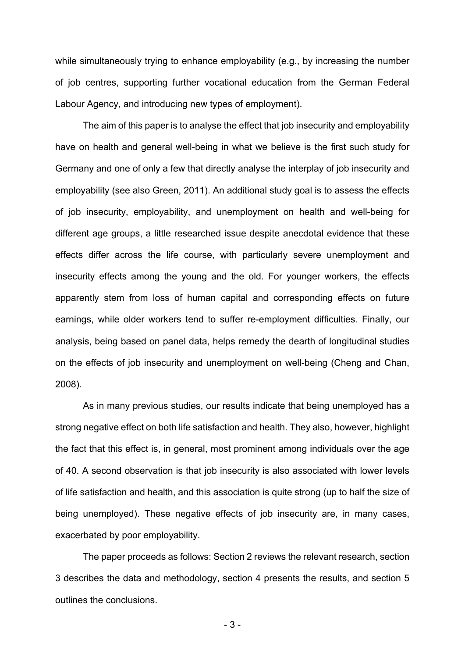while simultaneously trying to enhance employability (e.g., by increasing the number of job centres, supporting further vocational education from the German Federal Labour Agency, and introducing new types of employment).

The aim of this paper is to analyse the effect that job insecurity and employability have on health and general well-being in what we believe is the first such study for Germany and one of only a few that directly analyse the interplay of job insecurity and employability (see also Green, 2011). An additional study goal is to assess the effects of job insecurity, employability, and unemployment on health and well-being for different age groups, a little researched issue despite anecdotal evidence that these effects differ across the life course, with particularly severe unemployment and insecurity effects among the young and the old. For younger workers, the effects apparently stem from loss of human capital and corresponding effects on future earnings, while older workers tend to suffer re-employment difficulties. Finally, our analysis, being based on panel data, helps remedy the dearth of longitudinal studies on the effects of job insecurity and unemployment on well-being (Cheng and Chan, 2008).

As in many previous studies, our results indicate that being unemployed has a strong negative effect on both life satisfaction and health. They also, however, highlight the fact that this effect is, in general, most prominent among individuals over the age of 40. A second observation is that job insecurity is also associated with lower levels of life satisfaction and health, and this association is quite strong (up to half the size of being unemployed). These negative effects of job insecurity are, in many cases, exacerbated by poor employability.

The paper proceeds as follows: Section 2 reviews the relevant research, section 3 describes the data and methodology, section 4 presents the results, and section 5 outlines the conclusions.

- 3 -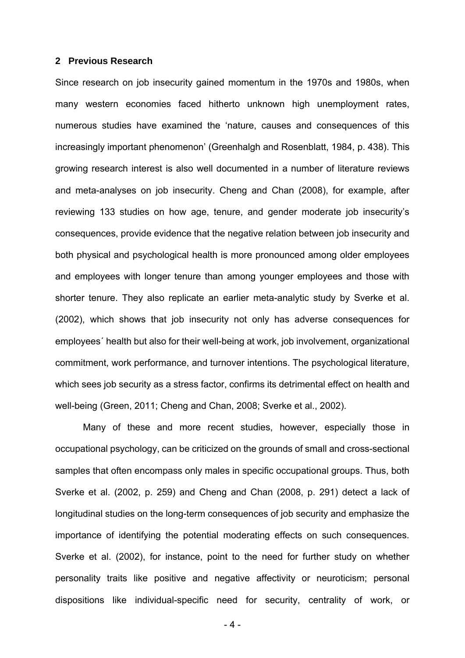### **2 Previous Research**

Since research on job insecurity gained momentum in the 1970s and 1980s, when many western economies faced hitherto unknown high unemployment rates, numerous studies have examined the 'nature, causes and consequences of this increasingly important phenomenon' (Greenhalgh and Rosenblatt, 1984, p. 438). This growing research interest is also well documented in a number of literature reviews and meta-analyses on job insecurity. Cheng and Chan (2008), for example, after reviewing 133 studies on how age, tenure, and gender moderate job insecurity's consequences, provide evidence that the negative relation between job insecurity and both physical and psychological health is more pronounced among older employees and employees with longer tenure than among younger employees and those with shorter tenure. They also replicate an earlier meta-analytic study by Sverke et al. (2002), which shows that job insecurity not only has adverse consequences for employees´ health but also for their well-being at work, job involvement, organizational commitment, work performance, and turnover intentions. The psychological literature, which sees job security as a stress factor, confirms its detrimental effect on health and well-being (Green, 2011; Cheng and Chan, 2008; Sverke et al., 2002).

Many of these and more recent studies, however, especially those in occupational psychology, can be criticized on the grounds of small and cross-sectional samples that often encompass only males in specific occupational groups. Thus, both Sverke et al. (2002, p. 259) and Cheng and Chan (2008, p. 291) detect a lack of longitudinal studies on the long-term consequences of job security and emphasize the importance of identifying the potential moderating effects on such consequences. Sverke et al. (2002), for instance, point to the need for further study on whether personality traits like positive and negative affectivity or neuroticism; personal dispositions like individual-specific need for security, centrality of work, or

- 4 -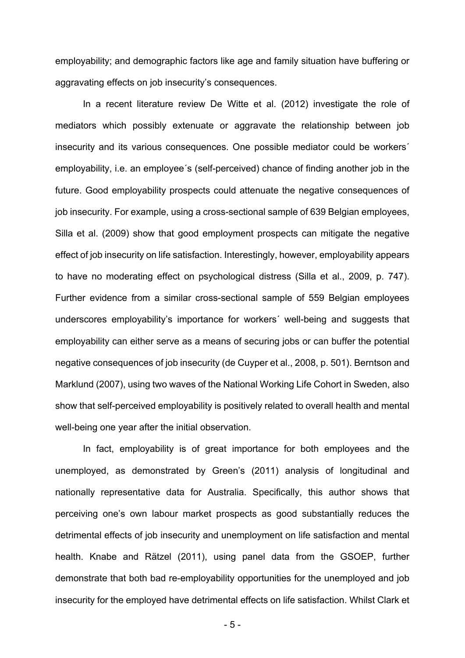employability; and demographic factors like age and family situation have buffering or aggravating effects on job insecurity's consequences.

In a recent literature review De Witte et al. (2012) investigate the role of mediators which possibly extenuate or aggravate the relationship between job insecurity and its various consequences. One possible mediator could be workers´ employability, i.e. an employee´s (self-perceived) chance of finding another job in the future. Good employability prospects could attenuate the negative consequences of job insecurity. For example, using a cross-sectional sample of 639 Belgian employees, Silla et al. (2009) show that good employment prospects can mitigate the negative effect of job insecurity on life satisfaction. Interestingly, however, employability appears to have no moderating effect on psychological distress (Silla et al., 2009, p. 747). Further evidence from a similar cross-sectional sample of 559 Belgian employees underscores employability's importance for workers´ well-being and suggests that employability can either serve as a means of securing jobs or can buffer the potential negative consequences of job insecurity (de Cuyper et al., 2008, p. 501). Berntson and Marklund (2007), using two waves of the National Working Life Cohort in Sweden, also show that self-perceived employability is positively related to overall health and mental well-being one year after the initial observation.

In fact, employability is of great importance for both employees and the unemployed, as demonstrated by Green's (2011) analysis of longitudinal and nationally representative data for Australia. Specifically, this author shows that perceiving one's own labour market prospects as good substantially reduces the detrimental effects of job insecurity and unemployment on life satisfaction and mental health. Knabe and Rätzel (2011), using panel data from the GSOEP, further demonstrate that both bad re-employability opportunities for the unemployed and job insecurity for the employed have detrimental effects on life satisfaction. Whilst Clark et

- 5 -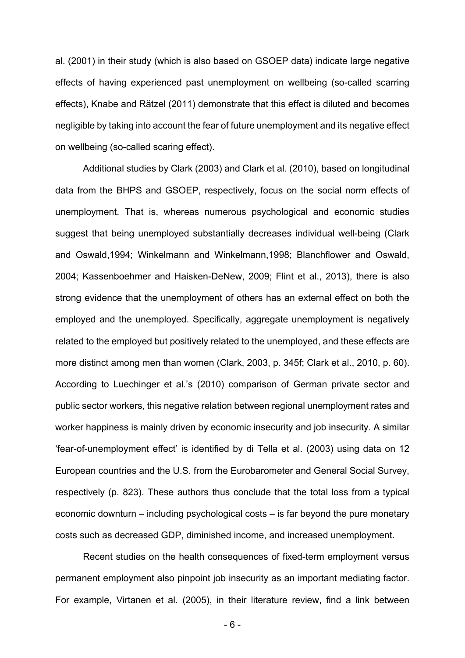al. (2001) in their study (which is also based on GSOEP data) indicate large negative effects of having experienced past unemployment on wellbeing (so-called scarring effects), Knabe and Rätzel (2011) demonstrate that this effect is diluted and becomes negligible by taking into account the fear of future unemployment and its negative effect on wellbeing (so-called scaring effect).

Additional studies by Clark (2003) and Clark et al. (2010), based on longitudinal data from the BHPS and GSOEP, respectively, focus on the social norm effects of unemployment. That is, whereas numerous psychological and economic studies suggest that being unemployed substantially decreases individual well-being (Clark and Oswald,1994; Winkelmann and Winkelmann,1998; Blanchflower and Oswald, 2004; Kassenboehmer and Haisken-DeNew, 2009; Flint et al., 2013), there is also strong evidence that the unemployment of others has an external effect on both the employed and the unemployed. Specifically, aggregate unemployment is negatively related to the employed but positively related to the unemployed, and these effects are more distinct among men than women (Clark, 2003, p. 345f; Clark et al., 2010, p. 60). According to Luechinger et al.'s (2010) comparison of German private sector and public sector workers, this negative relation between regional unemployment rates and worker happiness is mainly driven by economic insecurity and job insecurity. A similar 'fear-of-unemployment effect' is identified by di Tella et al. (2003) using data on 12 European countries and the U.S. from the Eurobarometer and General Social Survey, respectively (p. 823). These authors thus conclude that the total loss from a typical economic downturn – including psychological costs – is far beyond the pure monetary costs such as decreased GDP, diminished income, and increased unemployment.

Recent studies on the health consequences of fixed-term employment versus permanent employment also pinpoint job insecurity as an important mediating factor. For example, Virtanen et al. (2005), in their literature review, find a link between

- 6 -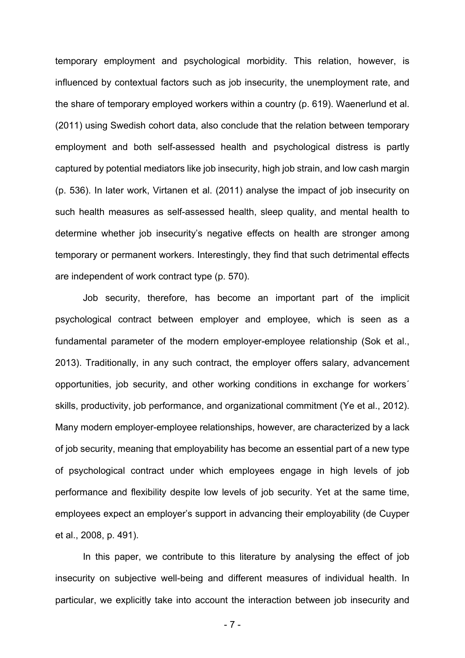temporary employment and psychological morbidity. This relation, however, is influenced by contextual factors such as job insecurity, the unemployment rate, and the share of temporary employed workers within a country (p. 619). Waenerlund et al. (2011) using Swedish cohort data, also conclude that the relation between temporary employment and both self-assessed health and psychological distress is partly captured by potential mediators like job insecurity, high job strain, and low cash margin (p. 536). In later work, Virtanen et al. (2011) analyse the impact of job insecurity on such health measures as self-assessed health, sleep quality, and mental health to determine whether job insecurity's negative effects on health are stronger among temporary or permanent workers. Interestingly, they find that such detrimental effects are independent of work contract type (p. 570).

Job security, therefore, has become an important part of the implicit psychological contract between employer and employee, which is seen as a fundamental parameter of the modern employer-employee relationship (Sok et al., 2013). Traditionally, in any such contract, the employer offers salary, advancement opportunities, job security, and other working conditions in exchange for workers´ skills, productivity, job performance, and organizational commitment (Ye et al., 2012). Many modern employer-employee relationships, however, are characterized by a lack of job security, meaning that employability has become an essential part of a new type of psychological contract under which employees engage in high levels of job performance and flexibility despite low levels of job security. Yet at the same time, employees expect an employer's support in advancing their employability (de Cuyper et al., 2008, p. 491).

In this paper, we contribute to this literature by analysing the effect of job insecurity on subjective well-being and different measures of individual health. In particular, we explicitly take into account the interaction between job insecurity and

- 7 -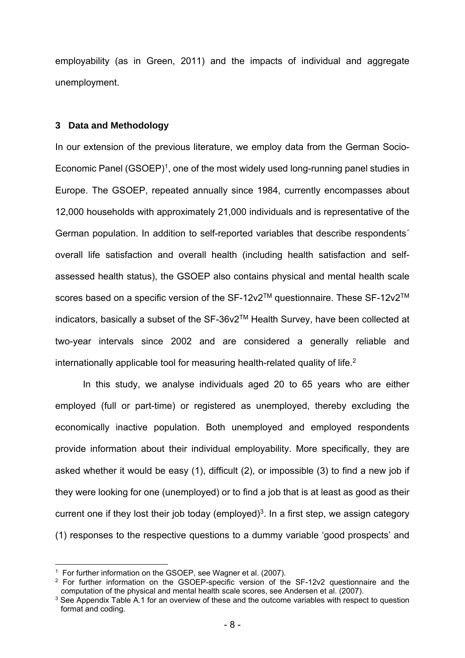employability (as in Green, 2011) and the impacts of individual and aggregate unemployment.

### **3 Data and Methodology**

In our extension of the previous literature, we employ data from the German Socio-Economic Panel  $(GSOEP)^1$ , one of the most widely used long-running panel studies in Europe. The GSOEP, repeated annually since 1984, currently encompasses about 12,000 households with approximately 21,000 individuals and is representative of the German population. In addition to self-reported variables that describe respondents´ overall life satisfaction and overall health (including health satisfaction and selfassessed health status), the GSOEP also contains physical and mental health scale scores based on a specific version of the SF-12v2™ questionnaire. These SF-12v2™ indicators, basically a subset of the SF-36v2TM Health Survey, have been collected at two-year intervals since 2002 and are considered a generally reliable and internationally applicable tool for measuring health-related quality of life.<sup>2</sup>

In this study, we analyse individuals aged 20 to 65 years who are either employed (full or part-time) or registered as unemployed, thereby excluding the economically inactive population. Both unemployed and employed respondents provide information about their individual employability. More specifically, they are asked whether it would be easy (1), difficult (2), or impossible (3) to find a new job if they were looking for one (unemployed) or to find a job that is at least as good as their current one if they lost their job today (employed)<sup>3</sup>. In a first step, we assign category (1) responses to the respective questions to a dummy variable 'good prospects' and

1

<sup>&</sup>lt;sup>1</sup> For further information on the GSOEP, see Wagner et al. (2007).

<sup>&</sup>lt;sup>2</sup> For further information on the GSOEP-specific version of the SF-12v2 questionnaire and the computation of the physical and mental health scale scores, see Andersen et al. (2007).

<sup>&</sup>lt;sup>3</sup> See Appendix Table A.1 for an overview of these and the outcome variables with respect to question format and coding.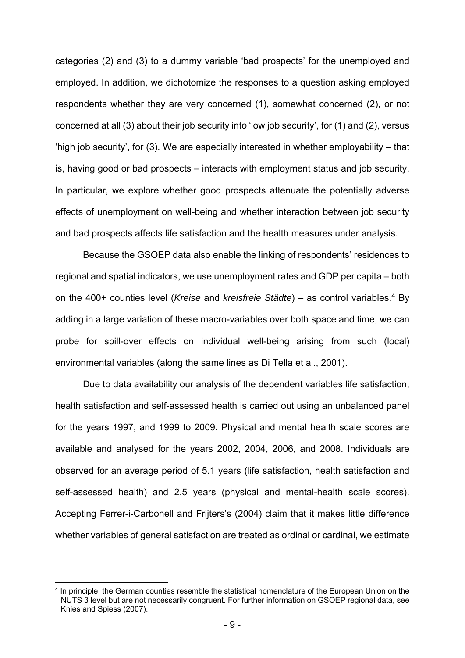categories (2) and (3) to a dummy variable 'bad prospects' for the unemployed and employed. In addition, we dichotomize the responses to a question asking employed respondents whether they are very concerned (1), somewhat concerned (2), or not concerned at all (3) about their job security into 'low job security', for (1) and (2), versus 'high job security', for (3). We are especially interested in whether employability – that is, having good or bad prospects – interacts with employment status and job security. In particular, we explore whether good prospects attenuate the potentially adverse effects of unemployment on well-being and whether interaction between job security and bad prospects affects life satisfaction and the health measures under analysis.

Because the GSOEP data also enable the linking of respondents' residences to regional and spatial indicators, we use unemployment rates and GDP per capita – both on the 400+ counties level (*Kreise* and *kreisfreie Städte*) – as control variables.4 By adding in a large variation of these macro-variables over both space and time, we can probe for spill-over effects on individual well-being arising from such (local) environmental variables (along the same lines as Di Tella et al., 2001).

Due to data availability our analysis of the dependent variables life satisfaction, health satisfaction and self-assessed health is carried out using an unbalanced panel for the years 1997, and 1999 to 2009. Physical and mental health scale scores are available and analysed for the years 2002, 2004, 2006, and 2008. Individuals are observed for an average period of 5.1 years (life satisfaction, health satisfaction and self-assessed health) and 2.5 years (physical and mental-health scale scores). Accepting Ferrer-i-Carbonell and Frijters's (2004) claim that it makes little difference whether variables of general satisfaction are treated as ordinal or cardinal, we estimate

1

<sup>4</sup> In principle, the German counties resemble the statistical nomenclature of the European Union on the NUTS 3 level but are not necessarily congruent. For further information on GSOEP regional data, see Knies and Spiess (2007).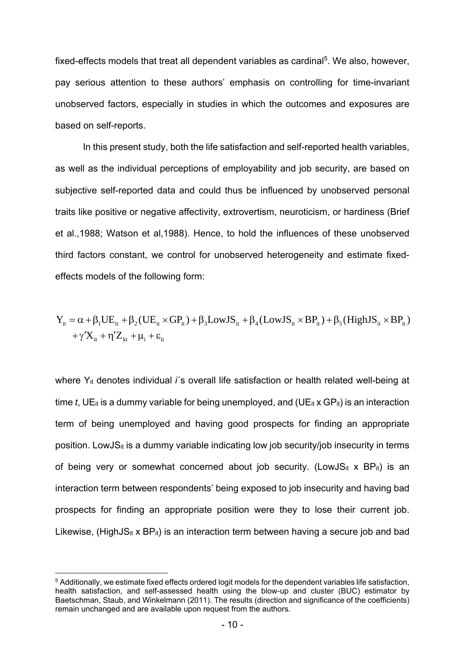fixed-effects models that treat all dependent variables as cardinal<sup>5</sup>. We also, however, pay serious attention to these authors' emphasis on controlling for time-invariant unobserved factors, especially in studies in which the outcomes and exposures are based on self-reports.

In this present study, both the life satisfaction and self-reported health variables, as well as the individual perceptions of employability and job security, are based on subjective self-reported data and could thus be influenced by unobserved personal traits like positive or negative affectivity, extrovertism, neuroticism, or hardiness (Brief et al.,1988; Watson et al,1988). Hence, to hold the influences of these unobserved third factors constant, we control for unobserved heterogeneity and estimate fixedeffects models of the following form:

$$
Y_{it} = \alpha + \beta_1 U E_{it} + \beta_2 (U E_{it} \times GP_{it}) + \beta_3 LowJS_{it} + \beta_4 (LowJS_{it} \times BP_{it}) + \beta_5 (HighJS_{it} \times BP_{it})
$$
  
+  $\gamma' X_{it} + \eta' Z_{kt} + \mu_i + \epsilon_{it}$ 

where Y<sub>it</sub> denotes individual *i*'s overall life satisfaction or health related well-being at time *t*, UE<sub>it</sub> is a dummy variable for being unemployed, and (UE<sub>it</sub> x GP<sub>it</sub>) is an interaction term of being unemployed and having good prospects for finding an appropriate position. LowJS $<sub>it</sub>$  is a dummy variable indicating low job security/job insecurity in terms</sub> of being very or somewhat concerned about job security. (LowJS<sub>it</sub> x BP<sub>it</sub>) is an interaction term between respondents' being exposed to job insecurity and having bad prospects for finding an appropriate position were they to lose their current job. Likewise, (HighJS<sub>it</sub> x BP<sub>it</sub>) is an interaction term between having a secure job and bad

1

<sup>5</sup> Additionally, we estimate fixed effects ordered logit models for the dependent variables life satisfaction, health satisfaction, and self-assessed health using the blow-up and cluster (BUC) estimator by Baetschman, Staub, and Winkelmann (2011). The results (direction and significance of the coefficients) remain unchanged and are available upon request from the authors.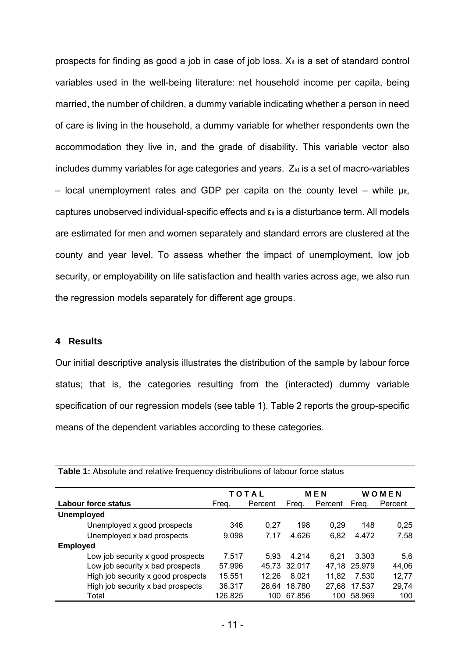prospects for finding as good a job in case of job loss.  $X_{it}$  is a set of standard control variables used in the well-being literature: net household income per capita, being married, the number of children, a dummy variable indicating whether a person in need of care is living in the household, a dummy variable for whether respondents own the accommodation they live in, and the grade of disability. This variable vector also includes dummy variables for age categories and years.  $Z_{kt}$  is a set of macro-variables – local unemployment rates and GDP per capita on the county level – while  $\mu_{it}$ , captures unobserved individual-specific effects and  $\epsilon_{it}$  is a disturbance term. All models are estimated for men and women separately and standard errors are clustered at the county and year level. To assess whether the impact of unemployment, low job security, or employability on life satisfaction and health varies across age, we also run the regression models separately for different age groups.

### **4 Results**

Our initial descriptive analysis illustrates the distribution of the sample by labour force status; that is, the categories resulting from the (interacted) dummy variable specification of our regression models (see table 1). Table 2 reports the group-specific means of the dependent variables according to these categories.

|                                    |         | TOTAL   |        | <b>MEN</b> | WOMEN        |         |
|------------------------------------|---------|---------|--------|------------|--------------|---------|
| Labour force status                | Freq.   | Percent | Freg.  | Percent    | Freq.        | Percent |
| <b>Unemployed</b>                  |         |         |        |            |              |         |
| Unemployed x good prospects        | 346     | 0.27    | 198    | 0.29       | 148          | 0.25    |
| Unemployed x bad prospects         | 9.098   | 7.17    | 4.626  | 6,82       | 4.472        | 7,58    |
| <b>Employed</b>                    |         |         |        |            |              |         |
| Low job security x good prospects  | 7.517   | 5.93    | 4.214  | 6.21       | 3.303        | 5.6     |
| Low job security x bad prospects   | 57.996  | 45.73   | 32.017 |            | 47,18 25.979 | 44,06   |
| High job security x good prospects | 15.551  | 12,26   | 8.021  | 11,82      | 7.530        | 12,77   |
| High job security x bad prospects  | 36.317  | 28,64   | 18.780 | 27,68      | 17.537       | 29,74   |
| Total                              | 126.825 | 100     | 67.856 | 100.       | 58.969       | 100     |

**Table 1:** Absolute and relative frequency distributions of labour force status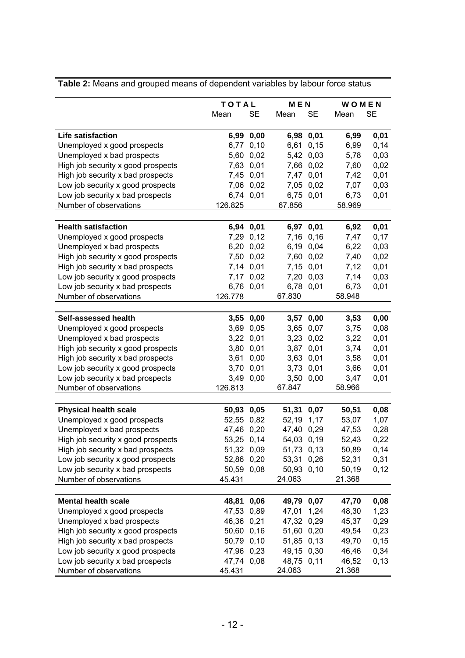|                                    | TOTAL      |           | <b>MEN</b> |           | WOMEN  |           |
|------------------------------------|------------|-----------|------------|-----------|--------|-----------|
|                                    | Mean       | <b>SE</b> | Mean       | <b>SE</b> | Mean   | <b>SE</b> |
| <b>Life satisfaction</b>           |            | 6,99 0,00 |            | 6,98 0,01 | 6,99   | 0,01      |
| Unemployed x good prospects        |            | 6,77 0,10 |            | 6,61 0,15 | 6,99   | 0,14      |
| Unemployed x bad prospects         |            | 5,60 0,02 |            | 5,42 0,03 | 5,78   | 0,03      |
| High job security x good prospects |            | 7,63 0,01 |            | 7,66 0,02 | 7,60   | 0,02      |
| High job security x bad prospects  |            | 7,45 0,01 |            | 7,47 0,01 | 7,42   | 0,01      |
| Low job security x good prospects  |            | 7,06 0,02 |            | 7,05 0,02 | 7,07   | 0,03      |
| Low job security x bad prospects   |            | 6,74 0,01 |            | 6,75 0,01 | 6,73   | 0,01      |
| Number of observations             | 126.825    |           | 67.856     |           | 58.969 |           |
| <b>Health satisfaction</b>         |            | 6,94 0,01 |            | 6,97 0,01 | 6,92   | 0,01      |
| Unemployed x good prospects        |            | 7,29 0,12 |            | 7,16 0,16 | 7,47   | 0,17      |
| Unemployed x bad prospects         |            | 6,20 0,02 |            | 6,19 0,04 | 6,22   | 0,03      |
| High job security x good prospects | 7,50       | 0,02      |            | 7,60 0,02 | 7,40   | 0,02      |
| High job security x bad prospects  |            | 7,14 0,01 |            | 7,15 0,01 | 7,12   | 0,01      |
| Low job security x good prospects  |            | 7,17 0,02 |            | 7,20 0,03 | 7,14   | 0,03      |
| Low job security x bad prospects   |            | 6,76 0,01 |            | 6,78 0,01 | 6,73   | 0,01      |
| Number of observations             | 126.778    |           | 67.830     |           | 58.948 |           |
|                                    |            |           |            |           |        |           |
| Self-assessed health               | 3,55       | 0,00      |            | 3,57 0,00 | 3,53   | 0,00      |
| Unemployed x good prospects        |            | 3,69 0,05 |            | 3,65 0,07 | 3,75   | 0,08      |
| Unemployed x bad prospects         |            | 3,22 0,01 |            | 3,23 0,02 | 3,22   | 0,01      |
| High job security x good prospects |            | 3,80 0,01 |            | 3,87 0,01 | 3,74   | 0,01      |
| High job security x bad prospects  | 3,61       | 0,00      |            | 3,63 0,01 | 3,58   | 0,01      |
| Low job security x good prospects  |            | 3,70 0,01 |            | 3,73 0,01 | 3,66   | 0,01      |
| Low job security x bad prospects   |            | 3,49 0,00 | 3,50       | 0,00      | 3,47   | 0,01      |
| Number of observations             | 126.813    |           | 67.847     |           | 58.966 |           |
| <b>Physical health scale</b>       | 50,93 0,05 |           | 51,31 0,07 |           | 50,51  | 0,08      |
| Unemployed x good prospects        | 52,55 0,82 |           | 52,19      | 1,17      | 53,07  | 1,07      |
| Unemployed x bad prospects         | 47,46 0,20 |           | 47,40 0,29 |           | 47,53  | 0,28      |
| High job security x good prospects | 53,25 0,14 |           | 54,03 0,19 |           | 52,43  | 0,22      |
| High job security x bad prospects  | 51,32 0,09 |           | 51,73 0,13 |           | 50,89  | 0,14      |
| Low job security x good prospects  | 52,86 0,20 |           | 53,31 0,26 |           | 52,31  | 0,31      |
| Low job security x bad prospects   | 50,59 0,08 |           | 50,93 0,10 |           | 50,19  | 0,12      |
| Number of observations             | 45.431     |           | 24.063     |           | 21.368 |           |
|                                    |            |           |            |           |        |           |
| <b>Mental health scale</b>         | 48,81      | 0,06      | 49,79 0,07 |           | 47,70  | 0,08      |
| Unemployed x good prospects        | 47,53 0,89 |           | 47,01      | 1,24      | 48,30  | 1,23      |
| Unemployed x bad prospects         | 46,36 0,21 |           | 47,32 0,29 |           | 45,37  | 0,29      |
| High job security x good prospects | 50,60 0,16 |           | 51,60 0,20 |           | 49,54  | 0,23      |
| High job security x bad prospects  | 50,79 0,10 |           | 51,85 0,13 |           | 49,70  | 0,15      |
| Low job security x good prospects  | 47,96 0,23 |           | 49,15 0,30 |           | 46,46  | 0,34      |
| Low job security x bad prospects   | 47,74 0,08 |           | 48,75 0,11 |           | 46,52  | 0,13      |
| Number of observations             | 45.431     |           | 24.063     |           | 21.368 |           |

**Table 2:** Means and grouped means of dependent variables by labour force status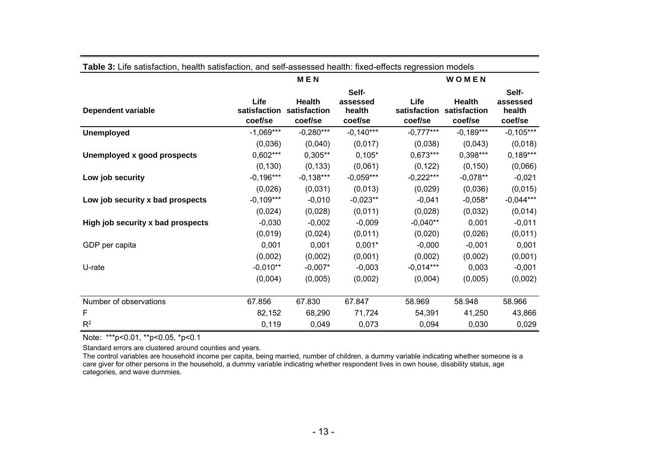|                                   |                                 | <b>MEN</b>                               |                                        | WOMEN                           |                                          |                                        |  |  |
|-----------------------------------|---------------------------------|------------------------------------------|----------------------------------------|---------------------------------|------------------------------------------|----------------------------------------|--|--|
| <b>Dependent variable</b>         | Life<br>satisfaction<br>coef/se | <b>Health</b><br>satisfaction<br>coef/se | Self-<br>assessed<br>health<br>coef/se | Life<br>satisfaction<br>coef/se | <b>Health</b><br>satisfaction<br>coef/se | Self-<br>assessed<br>health<br>coef/se |  |  |
| <b>Unemployed</b>                 | $-1,069***$                     | $-0,280***$                              | $-0,140***$                            | $-0,777***$                     | $-0,189***$                              | $-0,105***$                            |  |  |
|                                   | (0,036)                         | (0,040)                                  | (0,017)                                | (0,038)                         | (0,043)                                  | (0,018)                                |  |  |
| Unemployed x good prospects       | $0,602***$                      | $0,305**$                                | $0,105*$                               | $0,673***$                      | $0,398***$                               | $0,189***$                             |  |  |
|                                   | (0, 130)                        | (0, 133)                                 | (0,061)                                | (0, 122)                        | (0, 150)                                 | (0,066)                                |  |  |
| Low job security                  | $-0,196***$                     | $-0,138***$                              | $-0,059***$                            | $-0,222***$                     | $-0,078**$                               | $-0,021$                               |  |  |
|                                   | (0,026)                         | (0,031)                                  | (0,013)                                | (0,029)                         | (0,036)                                  | (0,015)                                |  |  |
| Low job security x bad prospects  | $-0,109***$                     | $-0,010$                                 | $-0,023**$                             | $-0,041$                        | $-0,058*$                                | $-0,044***$                            |  |  |
|                                   | (0,024)                         | (0,028)                                  | (0,011)                                | (0,028)                         | (0,032)                                  | (0,014)                                |  |  |
| High job security x bad prospects | $-0,030$                        | $-0,002$                                 | $-0,009$                               | $-0,040**$                      | 0,001                                    | $-0,011$                               |  |  |
|                                   | (0,019)                         | (0,024)                                  | (0,011)                                | (0,020)                         | (0,026)                                  | (0,011)                                |  |  |
| GDP per capita                    | 0,001                           | 0,001                                    | $0,001*$                               | $-0,000$                        | $-0,001$                                 | 0,001                                  |  |  |
|                                   | (0,002)                         | (0,002)                                  | (0,001)                                | (0,002)                         | (0,002)                                  | (0,001)                                |  |  |
| U-rate                            | $-0,010**$                      | $-0,007*$                                | $-0,003$                               | $-0.014***$                     | 0,003                                    | $-0,001$                               |  |  |
|                                   | (0,004)                         | (0,005)                                  | (0,002)                                | (0,004)                         | (0,005)                                  | (0,002)                                |  |  |
| Number of observations            | 67.856                          | 67.830                                   | 67.847                                 | 58.969                          | 58.948                                   | 58.966                                 |  |  |
| F                                 | 82,152                          | 68,290                                   | 71,724                                 | 54,391                          | 41,250                                   | 43,866                                 |  |  |
| $R^2$                             | 0,119                           | 0,049                                    | 0,073                                  | 0,094                           | 0,030                                    | 0,029                                  |  |  |

#### **Table 3:** Life satisfaction, health satisfaction, and self-assessed health: fixed-effects regression models

Note: \*\*\*p<0.01, \*\*p<0.05, \*p<0.1

Standard errors are clustered around counties and years.

The control variables are household income per capita, being married, number of children, a dummy variable indicating whether someone is a care giver for other persons in the household, a dummy variable indicating whether respondent lives in own house, disability status, age categories, and wave dummies.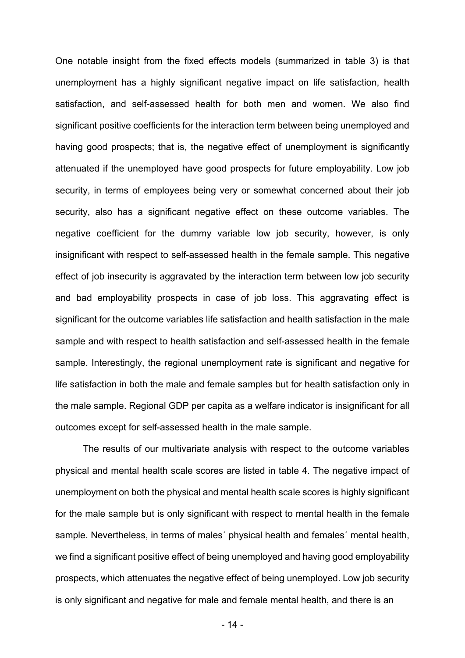One notable insight from the fixed effects models (summarized in table 3) is that unemployment has a highly significant negative impact on life satisfaction, health satisfaction, and self-assessed health for both men and women. We also find significant positive coefficients for the interaction term between being unemployed and having good prospects; that is, the negative effect of unemployment is significantly attenuated if the unemployed have good prospects for future employability. Low job security, in terms of employees being very or somewhat concerned about their job security, also has a significant negative effect on these outcome variables. The negative coefficient for the dummy variable low job security, however, is only insignificant with respect to self-assessed health in the female sample. This negative effect of job insecurity is aggravated by the interaction term between low job security and bad employability prospects in case of job loss. This aggravating effect is significant for the outcome variables life satisfaction and health satisfaction in the male sample and with respect to health satisfaction and self-assessed health in the female sample. Interestingly, the regional unemployment rate is significant and negative for life satisfaction in both the male and female samples but for health satisfaction only in the male sample. Regional GDP per capita as a welfare indicator is insignificant for all outcomes except for self-assessed health in the male sample.

The results of our multivariate analysis with respect to the outcome variables physical and mental health scale scores are listed in table 4. The negative impact of unemployment on both the physical and mental health scale scores is highly significant for the male sample but is only significant with respect to mental health in the female sample. Nevertheless, in terms of males´ physical health and females´ mental health, we find a significant positive effect of being unemployed and having good employability prospects, which attenuates the negative effect of being unemployed. Low job security is only significant and negative for male and female mental health, and there is an

- 14 -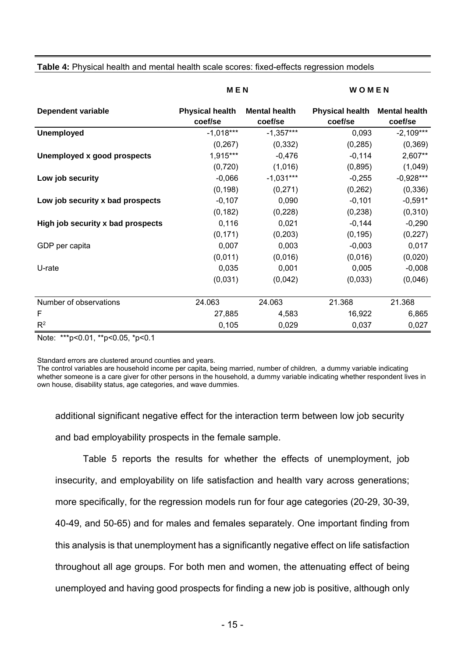|                                   | <b>MEN</b>                        |                                 | WOMEN                             |                                 |  |  |
|-----------------------------------|-----------------------------------|---------------------------------|-----------------------------------|---------------------------------|--|--|
| <b>Dependent variable</b>         | <b>Physical health</b><br>coef/se | <b>Mental health</b><br>coef/se | <b>Physical health</b><br>coef/se | <b>Mental health</b><br>coef/se |  |  |
| <b>Unemployed</b>                 | $-1,018***$                       | $-1,357***$                     | 0,093                             | $-2,109***$                     |  |  |
|                                   | (0, 267)                          | (0, 332)                        | (0, 285)                          | (0, 369)                        |  |  |
| Unemployed x good prospects       | 1,915***                          | $-0,476$                        | $-0,114$                          | 2,607**                         |  |  |
|                                   | (0, 720)                          | (1,016)                         | (0,895)                           | (1,049)                         |  |  |
| Low job security                  | $-0,066$                          | $-1,031***$                     | $-0,255$                          | $-0,928***$                     |  |  |
|                                   | (0, 198)                          | (0,271)                         | (0, 262)                          | (0, 336)                        |  |  |
| Low job security x bad prospects  | $-0,107$                          | 0,090                           | $-0,101$                          | $-0,591*$                       |  |  |
|                                   | (0, 182)                          | (0, 228)                        | (0, 238)                          | (0, 310)                        |  |  |
| High job security x bad prospects | 0,116                             | 0,021                           | $-0,144$                          | $-0,290$                        |  |  |
|                                   | (0, 171)                          | (0, 203)                        | (0, 195)                          | (0, 227)                        |  |  |
| GDP per capita                    | 0,007                             | 0,003                           | $-0,003$                          | 0,017                           |  |  |
|                                   | (0,011)                           | (0,016)                         | (0,016)                           | (0,020)                         |  |  |
| U-rate                            | 0,035                             | 0,001                           | 0,005                             | $-0,008$                        |  |  |
|                                   | (0,031)                           | (0,042)                         | (0,033)                           | (0,046)                         |  |  |
| Number of observations            | 24.063                            | 24.063                          | 21.368                            | 21.368                          |  |  |
| F                                 | 27,885                            | 4,583                           | 16,922                            | 6,865                           |  |  |
| $R^2$                             | 0,105                             | 0,029                           | 0,037                             | 0,027                           |  |  |

**Table 4:** Physical health and mental health scale scores: fixed-effects regression models

Note: \*\*\*p<0.01, \*\*p<0.05, \*p<0.1

Standard errors are clustered around counties and years.

The control variables are household income per capita, being married, number of children, a dummy variable indicating whether someone is a care giver for other persons in the household, a dummy variable indicating whether respondent lives in own house, disability status, age categories, and wave dummies.

additional significant negative effect for the interaction term between low job security and bad employability prospects in the female sample.

Table 5 reports the results for whether the effects of unemployment, job insecurity, and employability on life satisfaction and health vary across generations; more specifically, for the regression models run for four age categories (20-29, 30-39, 40-49, and 50-65) and for males and females separately. One important finding from this analysis is that unemployment has a significantly negative effect on life satisfaction throughout all age groups. For both men and women, the attenuating effect of being unemployed and having good prospects for finding a new job is positive, although only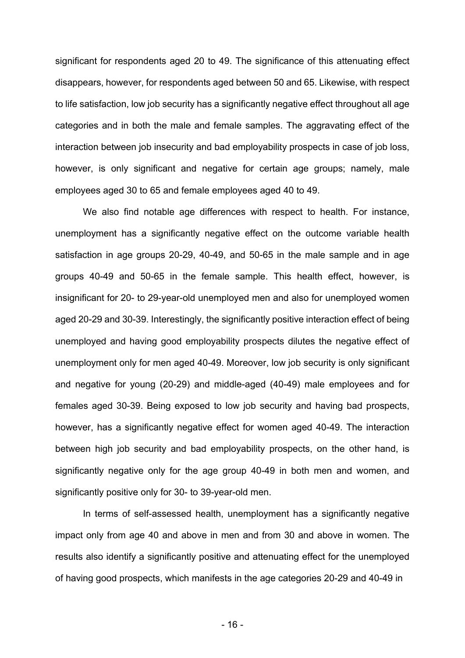significant for respondents aged 20 to 49. The significance of this attenuating effect disappears, however, for respondents aged between 50 and 65. Likewise, with respect to life satisfaction, low job security has a significantly negative effect throughout all age categories and in both the male and female samples. The aggravating effect of the interaction between job insecurity and bad employability prospects in case of job loss, however, is only significant and negative for certain age groups; namely, male employees aged 30 to 65 and female employees aged 40 to 49.

 We also find notable age differences with respect to health. For instance, unemployment has a significantly negative effect on the outcome variable health satisfaction in age groups 20-29, 40-49, and 50-65 in the male sample and in age groups 40-49 and 50-65 in the female sample. This health effect, however, is insignificant for 20- to 29-year-old unemployed men and also for unemployed women aged 20-29 and 30-39. Interestingly, the significantly positive interaction effect of being unemployed and having good employability prospects dilutes the negative effect of unemployment only for men aged 40-49. Moreover, low job security is only significant and negative for young (20-29) and middle-aged (40-49) male employees and for females aged 30-39. Being exposed to low job security and having bad prospects, however, has a significantly negative effect for women aged 40-49. The interaction between high job security and bad employability prospects, on the other hand, is significantly negative only for the age group 40-49 in both men and women, and significantly positive only for 30- to 39-year-old men.

 In terms of self-assessed health, unemployment has a significantly negative impact only from age 40 and above in men and from 30 and above in women. The results also identify a significantly positive and attenuating effect for the unemployed of having good prospects, which manifests in the age categories 20-29 and 40-49 in

- 16 -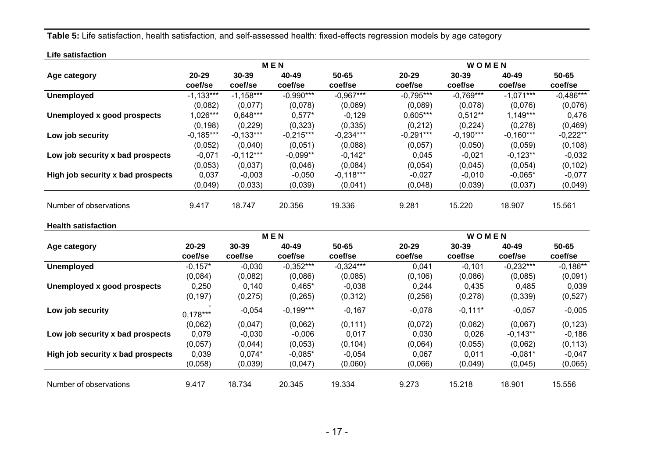**Table 5:** Life satisfaction, health satisfaction, and self-assessed health: fixed-effects regression models by age category

|                                   |             |             | <b>MEN</b>  |             | WOMEN       |             |             |             |
|-----------------------------------|-------------|-------------|-------------|-------------|-------------|-------------|-------------|-------------|
| Age category                      | $20 - 29$   | $30 - 39$   | 40-49       | 50-65       | $20 - 29$   | $30 - 39$   | 40-49       | 50-65       |
|                                   | coef/se     | coef/se     | coef/se     | coef/se     | coef/se     | coef/se     | coef/se     | coef/se     |
| <b>Unemployed</b>                 | $-1,133***$ | $-1.158***$ | $-0,990***$ | $-0,967***$ | $-0.795***$ | $-0.769***$ | $-1.071***$ | $-0,486***$ |
|                                   | (0,082)     | (0,077)     | (0,078)     | (0,069)     | (0,089)     | (0,078)     | (0,076)     | (0,076)     |
| Unemployed x good prospects       | 1,026***    | $0,648***$  | $0,577*$    | $-0,129$    | $0,605***$  | $0,512**$   | $1,149***$  | 0,476       |
|                                   | (0, 198)    | (0, 229)    | (0, 323)    | (0, 335)    | (0, 212)    | (0,224)     | (0, 278)    | (0,469)     |
| Low job security                  | $-0,185***$ | $-0,133***$ | $-0,215***$ | $-0,234***$ | $-0,291***$ | $-0,190***$ | $-0,160***$ | $-0,222**$  |
|                                   | (0,052)     | (0,040)     | (0,051)     | (0,088)     | (0,057)     | (0,050)     | (0,059)     | (0, 108)    |
| Low job security x bad prospects  | $-0,071$    | $-0,112***$ | $-0,099**$  | $-0,142*$   | 0,045       | $-0,021$    | $-0,123**$  | $-0,032$    |
|                                   | (0,053)     | (0,037)     | (0,046)     | (0,084)     | (0,054)     | (0,045)     | (0,054)     | (0, 102)    |
| High job security x bad prospects | 0,037       | $-0,003$    | $-0,050$    | $-0,118***$ | $-0,027$    | $-0,010$    | $-0,065*$   | $-0,077$    |
|                                   | (0,049)     | (0,033)     | (0,039)     | (0,041)     | (0,048)     | (0,039)     | (0,037)     | (0,049)     |
| Number of observations            | 9.417       | 18.747      | 20.356      | 19.336      | 9.281       | 15.220      | 18.907      | 15.561      |
| <b>Health satisfaction</b>        |             |             |             |             |             |             |             |             |

|                                   |                      |                      | <b>MEN</b>       |                  | WOMEN                |                      |                  |                      |  |
|-----------------------------------|----------------------|----------------------|------------------|------------------|----------------------|----------------------|------------------|----------------------|--|
| Age category                      | $20 - 29$<br>coef/se | $30 - 39$<br>coef/se | 40-49<br>coef/se | 50-65<br>coef/se | $20 - 29$<br>coef/se | $30 - 39$<br>coef/se | 40-49<br>coef/se | $50 - 65$<br>coef/se |  |
| <b>Unemployed</b>                 | $-0,157*$            | $-0.030$             | $-0,352***$      | $-0.324***$      | 0.041                | $-0.101$             | $-0.232***$      | $-0.186**$           |  |
|                                   | (0,084)              | (0,082)              | (0,086)          | (0,085)          | (0, 106)             | (0,086)              | (0,085)          | (0,091)              |  |
| Unemployed x good prospects       | 0,250                | 0,140                | $0,465*$         | $-0,038$         | 0,244                | 0,435                | 0,485            | 0,039                |  |
|                                   | (0, 197)             | (0, 275)             | (0, 265)         | (0, 312)         | (0, 256)             | (0, 278)             | (0, 339)         | (0,527)              |  |
| Low job security                  | $0.178***$           | $-0,054$             | $-0,199***$      | $-0,167$         | $-0,078$             | $-0,111*$            | $-0,057$         | $-0,005$             |  |
|                                   | (0,062)              | (0,047)              | (0,062)          | (0, 111)         | (0,072)              | (0,062)              | (0,067)          | (0, 123)             |  |
| Low job security x bad prospects  | 0,079                | $-0,030$             | $-0,006$         | 0,017            | 0,030                | 0,026                | $-0,143**$       | $-0,186$             |  |
|                                   | (0,057)              | (0,044)              | (0,053)          | (0, 104)         | (0,064)              | (0,055)              | (0,062)          | (0, 113)             |  |
| High job security x bad prospects | 0,039                | $0.074*$             | $-0,085*$        | $-0,054$         | 0,067                | 0,011                | $-0,081*$        | $-0,047$             |  |
|                                   | (0,058)              | (0,039)              | (0,047)          | (0,060)          | (0,066)              | (0,049)              | (0,045)          | (0,065)              |  |
| Number of observations            | 9.417                | 18.734               | 20.345           | 19.334           | 9.273                | 15.218               | 18.901           | 15.556               |  |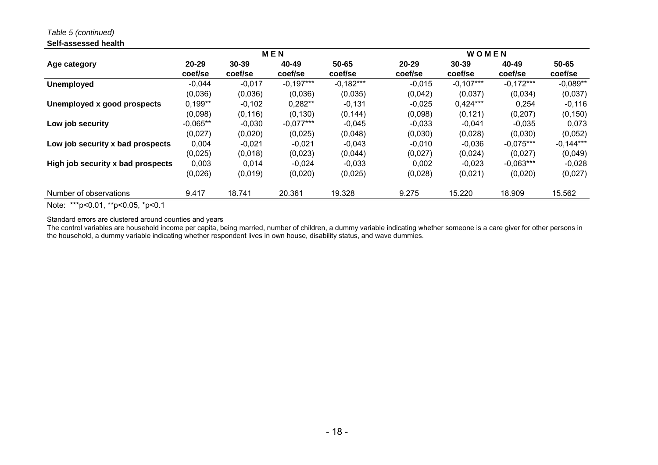*Table 5 (continued)* 

#### **Self-assessed health**

|                                   | <b>MEN</b>           |                  |                  |                  |                      | WOMEN                |                  |                  |  |  |
|-----------------------------------|----------------------|------------------|------------------|------------------|----------------------|----------------------|------------------|------------------|--|--|
| Age category                      | $20 - 29$<br>coef/se | 30-39<br>coef/se | 40-49<br>coef/se | 50-65<br>coef/se | $20 - 29$<br>coef/se | $30 - 39$<br>coef/se | 40-49<br>coef/se | 50-65<br>coef/se |  |  |
| <b>Unemployed</b>                 | $-0,044$             | $-0,017$         | $-0,197***$      | $-0,182***$      | $-0,015$             | $-0,107***$          | $-0,172***$      | $-0,089**$       |  |  |
|                                   | (0,036)              | (0,036)          | (0,036)          | (0,035)          | (0,042)              | (0,037)              | (0,034)          | (0,037)          |  |  |
| Unemployed x good prospects       | $0,199**$            | $-0,102$         | $0,282**$        | $-0,131$         | $-0,025$             | $0,424***$           | 0,254            | $-0,116$         |  |  |
|                                   | (0,098)              | (0, 116)         | (0, 130)         | (0, 144)         | (0,098)              | (0, 121)             | (0, 207)         | (0, 150)         |  |  |
| Low job security                  | $-0,065**$           | $-0,030$         | $-0.077***$      | $-0,045$         | $-0,033$             | $-0,041$             | $-0,035$         | 0,073            |  |  |
|                                   | (0,027)              | (0,020)          | (0,025)          | (0,048)          | (0,030)              | (0,028)              | (0,030)          | (0,052)          |  |  |
| Low job security x bad prospects  | 0,004                | $-0.021$         | $-0.021$         | $-0,043$         | $-0,010$             | $-0,036$             | $-0.075***$      | $-0,144***$      |  |  |
|                                   | (0,025)              | (0,018)          | (0,023)          | (0,044)          | (0,027)              | (0,024)              | (0,027)          | (0,049)          |  |  |
| High job security x bad prospects | 0,003                | 0.014            | $-0,024$         | $-0,033$         | 0,002                | $-0,023$             | $-0.063***$      | $-0,028$         |  |  |
|                                   | (0,026)              | (0,019)          | (0,020)          | (0,025)          | (0,028)              | (0,021)              | (0,020)          | (0,027)          |  |  |
| Number of observations            | 9.417                | 18.741           | 20.361           | 19.328           | 9.275                | 15.220               | 18.909           | 15.562           |  |  |

Note: \*\*\*p<0.01, \*\*p<0.05, \*p<0.1

Standard errors are clustered around counties and years

The control variables are household income per capita, being married, number of children, a dummy variable indicating whether someone is a care giver for other persons in the household, a dummy variable indicating whether respondent lives in own house, disability status, and wave dummies.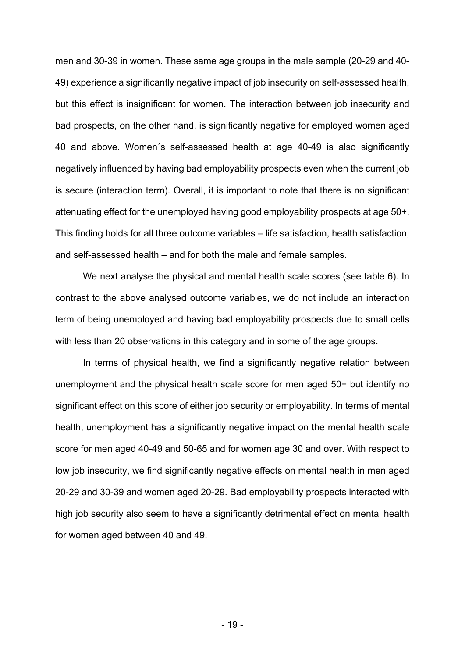men and 30-39 in women. These same age groups in the male sample (20-29 and 40- 49) experience a significantly negative impact of job insecurity on self-assessed health, but this effect is insignificant for women. The interaction between job insecurity and bad prospects, on the other hand, is significantly negative for employed women aged 40 and above. Women´s self-assessed health at age 40-49 is also significantly negatively influenced by having bad employability prospects even when the current job is secure (interaction term). Overall, it is important to note that there is no significant attenuating effect for the unemployed having good employability prospects at age 50+. This finding holds for all three outcome variables – life satisfaction, health satisfaction, and self-assessed health – and for both the male and female samples.

We next analyse the physical and mental health scale scores (see table 6). In contrast to the above analysed outcome variables, we do not include an interaction term of being unemployed and having bad employability prospects due to small cells with less than 20 observations in this category and in some of the age groups.

In terms of physical health, we find a significantly negative relation between unemployment and the physical health scale score for men aged 50+ but identify no significant effect on this score of either job security or employability. In terms of mental health, unemployment has a significantly negative impact on the mental health scale score for men aged 40-49 and 50-65 and for women age 30 and over. With respect to low job insecurity, we find significantly negative effects on mental health in men aged 20-29 and 30-39 and women aged 20-29. Bad employability prospects interacted with high job security also seem to have a significantly detrimental effect on mental health for women aged between 40 and 49.

- 19 -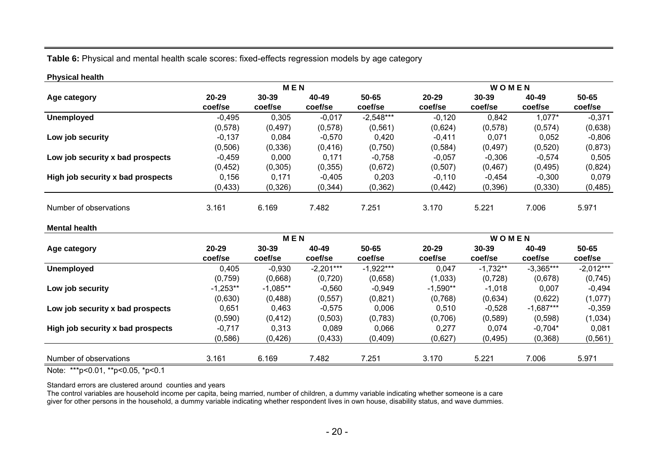### **Table 6:** Physical and mental health scale scores: fixed-effects regression models by age category

#### **Physical health**

|                                   |                  | <b>MEN</b>           |                  |                  | WOMEN                |                      |                  |                  |
|-----------------------------------|------------------|----------------------|------------------|------------------|----------------------|----------------------|------------------|------------------|
| Age category                      | 20-29<br>coef/se | $30 - 39$<br>coef/se | 40-49<br>coef/se | 50-65<br>coef/se | $20 - 29$<br>coef/se | $30 - 39$<br>coef/se | 40-49<br>coef/se | 50-65<br>coef/se |
| <b>Unemployed</b>                 | $-0.495$         | 0,305                | $-0,017$         | $-2,548***$      | $-0.120$             | 0.842                | 1,077*           | $-0.371$         |
|                                   | (0,578)          | (0, 497)             | (0,578)          | (0, 561)         | (0,624)              | (0,578)              | (0, 574)         | (0,638)          |
| Low job security                  | $-0,137$         | 0,084                | $-0,570$         | 0,420            | $-0,411$             | 0,071                | 0,052            | $-0,806$         |
|                                   | (0, 506)         | (0, 336)             | (0, 416)         | (0,750)          | (0, 584)             | (0, 497)             | (0,520)          | (0,873)          |
| Low job security x bad prospects  | $-0,459$         | 0,000                | 0.171            | $-0,758$         | $-0,057$             | $-0,306$             | $-0,574$         | 0,505            |
|                                   | (0, 452)         | (0,305)              | (0, 355)         | (0,672)          | (0, 507)             | (0, 467)             | (0, 495)         | (0,824)          |
| High job security x bad prospects | 0.156            | 0.171                | $-0.405$         | 0,203            | $-0.110$             | $-0.454$             | $-0.300$         | 0.079            |
|                                   | (0, 433)         | (0,326)              | (0, 344)         | (0, 362)         | (0, 442)             | (0, 396)             | (0, 330)         | (0, 485)         |
| Number of observations            | 3.161            | 6.169                | 7.482            | 7.251            | 3.170                | 5.221                | 7.006            | 5.971            |

#### **Mental health**

|                                   |                      | <b>MEN</b>           |                  |                  | WOMEN                |                      |                  |                  |
|-----------------------------------|----------------------|----------------------|------------------|------------------|----------------------|----------------------|------------------|------------------|
| Age category                      | $20 - 29$<br>coef/se | $30 - 39$<br>coef/se | 40-49<br>coef/se | 50-65<br>coef/se | $20 - 29$<br>coef/se | $30 - 39$<br>coef/se | 40-49<br>coef/se | 50-65<br>coef/se |
| <b>Unemployed</b>                 | 0,405                | $-0,930$             | $-2,201***$      | $-1,922***$      | 0.047                | $-1,732**$           | $-3,365***$      | $-2,012***$      |
|                                   | (0,759)              | (0,668)              | (0,720)          | (0,658)          | (1,033)              | (0, 728)             | (0,678)          | (0,745)          |
| Low job security                  | $-1,253**$           | $-1,085**$           | $-0,560$         | $-0,949$         | $-1,590**$           | $-1,018$             | 0,007            | $-0,494$         |
|                                   | (0,630)              | (0,488)              | (0, 557)         | (0,821)          | (0,768)              | (0,634)              | (0,622)          | (1,077)          |
| Low job security x bad prospects  | 0,651                | 0,463                | $-0.575$         | 0,006            | 0,510                | $-0,528$             | $-1,687***$      | $-0,359$         |
|                                   | (0, 590)             | (0, 412)             | (0, 503)         | (0,783)          | (0,706)              | (0, 589)             | (0, 598)         | (1,034)          |
| High job security x bad prospects | $-0.717$             | 0.313                | 0.089            | 0.066            | 0.277                | 0.074                | $-0.704*$        | 0.081            |
|                                   | (0, 586)             | (0,426)              | (0, 433)         | (0,409)          | (0,627)              | (0, 495)             | (0, 368)         | (0, 561)         |
| Number of observations            | 3.161                | 6.169                | 7.482            | 7.251            | 3.170                | 5.221                | 7.006            | 5.971            |

Note: \*\*\*p<0.01, \*\*p<0.05, \*p<0.1

Standard errors are clustered around counties and years

The control variables are household income per capita, being married, number of children, a dummy variable indicating whether someone is a care giver for other persons in the household, a dummy variable indicating whether respondent lives in own house, disability status, and wave dummies.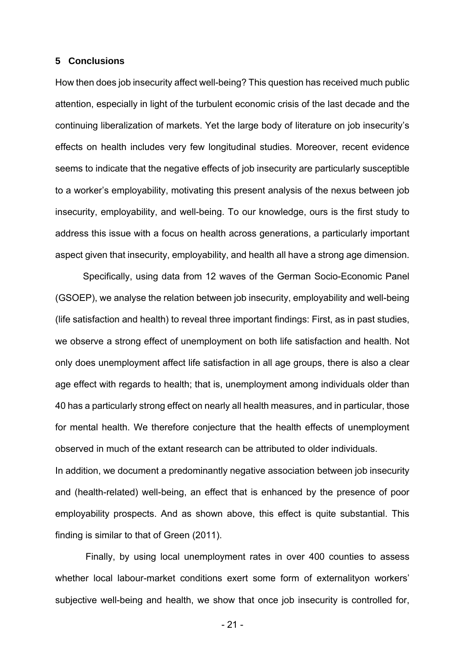### **5 Conclusions**

How then does job insecurity affect well-being? This question has received much public attention, especially in light of the turbulent economic crisis of the last decade and the continuing liberalization of markets. Yet the large body of literature on job insecurity's effects on health includes very few longitudinal studies. Moreover, recent evidence seems to indicate that the negative effects of job insecurity are particularly susceptible to a worker's employability, motivating this present analysis of the nexus between job insecurity, employability, and well-being. To our knowledge, ours is the first study to address this issue with a focus on health across generations, a particularly important aspect given that insecurity, employability, and health all have a strong age dimension.

Specifically, using data from 12 waves of the German Socio-Economic Panel (GSOEP), we analyse the relation between job insecurity, employability and well-being (life satisfaction and health) to reveal three important findings: First, as in past studies, we observe a strong effect of unemployment on both life satisfaction and health. Not only does unemployment affect life satisfaction in all age groups, there is also a clear age effect with regards to health; that is, unemployment among individuals older than 40 has a particularly strong effect on nearly all health measures, and in particular, those for mental health. We therefore conjecture that the health effects of unemployment observed in much of the extant research can be attributed to older individuals. In addition, we document a predominantly negative association between job insecurity and (health-related) well-being, an effect that is enhanced by the presence of poor employability prospects. And as shown above, this effect is quite substantial. This

finding is similar to that of Green (2011).

 Finally, by using local unemployment rates in over 400 counties to assess whether local labour-market conditions exert some form of externalityon workers' subjective well-being and health, we show that once job insecurity is controlled for,

- 21 -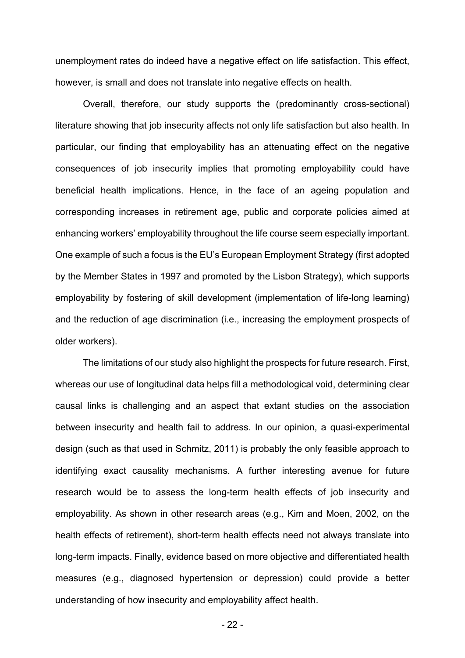unemployment rates do indeed have a negative effect on life satisfaction. This effect, however, is small and does not translate into negative effects on health.

Overall, therefore, our study supports the (predominantly cross-sectional) literature showing that job insecurity affects not only life satisfaction but also health. In particular, our finding that employability has an attenuating effect on the negative consequences of job insecurity implies that promoting employability could have beneficial health implications. Hence, in the face of an ageing population and corresponding increases in retirement age, public and corporate policies aimed at enhancing workers' employability throughout the life course seem especially important. One example of such a focus is the EU's European Employment Strategy (first adopted by the Member States in 1997 and promoted by the Lisbon Strategy), which supports employability by fostering of skill development (implementation of life-long learning) and the reduction of age discrimination (i.e., increasing the employment prospects of older workers).

The limitations of our study also highlight the prospects for future research. First, whereas our use of longitudinal data helps fill a methodological void, determining clear causal links is challenging and an aspect that extant studies on the association between insecurity and health fail to address. In our opinion, a quasi-experimental design (such as that used in Schmitz, 2011) is probably the only feasible approach to identifying exact causality mechanisms. A further interesting avenue for future research would be to assess the long-term health effects of job insecurity and employability. As shown in other research areas (e.g., Kim and Moen, 2002, on the health effects of retirement), short-term health effects need not always translate into long-term impacts. Finally, evidence based on more objective and differentiated health measures (e.g., diagnosed hypertension or depression) could provide a better understanding of how insecurity and employability affect health.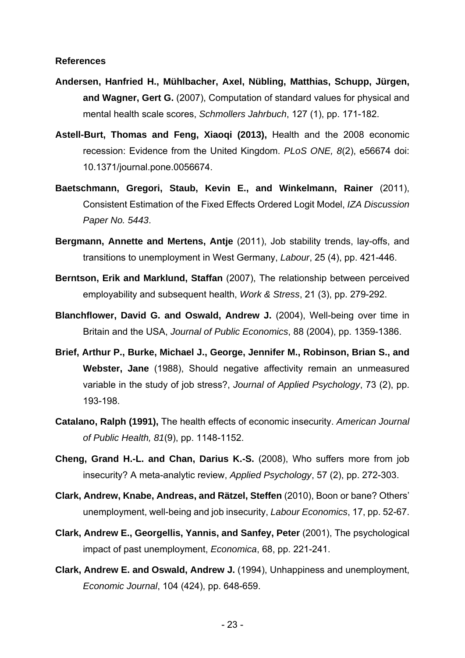#### **References**

- **Andersen, Hanfried H., Mühlbacher, Axel, Nübling, Matthias, Schupp, Jürgen, and Wagner, Gert G.** (2007), Computation of standard values for physical and mental health scale scores, *Schmollers Jahrbuch*, 127 (1), pp. 171-182.
- **Astell-Burt, Thomas and Feng, Xiaoqi (2013),** Health and the 2008 economic recession: Evidence from the United Kingdom. *PLoS ONE, 8*(2), e56674 doi: 10.1371/journal.pone.0056674.
- **Baetschmann, Gregori, Staub, Kevin E., and Winkelmann, Rainer** (2011), Consistent Estimation of the Fixed Effects Ordered Logit Model, *IZA Discussion Paper No. 5443*.
- **Bergmann, Annette and Mertens, Antje** (2011), Job stability trends, lay-offs, and transitions to unemployment in West Germany, *Labour*, 25 (4), pp. 421-446.
- **Berntson, Erik and Marklund, Staffan** (2007), The relationship between perceived employability and subsequent health, *Work & Stress*, 21 (3), pp. 279-292.
- **Blanchflower, David G. and Oswald, Andrew J.** (2004), Well-being over time in Britain and the USA, *Journal of Public Economics*, 88 (2004), pp. 1359-1386.
- **Brief, Arthur P., Burke, Michael J., George, Jennifer M., Robinson, Brian S., and Webster, Jane** (1988), Should negative affectivity remain an unmeasured variable in the study of job stress?, *Journal of Applied Psychology*, 73 (2), pp. 193-198.
- **Catalano, Ralph (1991),** The health effects of economic insecurity. *American Journal of Public Health, 81*(9), pp. 1148-1152.
- **Cheng, Grand H.-L. and Chan, Darius K.-S.** (2008), Who suffers more from job insecurity? A meta-analytic review, *Applied Psychology*, 57 (2), pp. 272-303.
- **Clark, Andrew, Knabe, Andreas, and Rätzel, Steffen** (2010), Boon or bane? Others' unemployment, well-being and job insecurity, *Labour Economics*, 17, pp. 52-67.
- **Clark, Andrew E., Georgellis, Yannis, and Sanfey, Peter** (2001), The psychological impact of past unemployment, *Economica*, 68, pp. 221-241.
- **Clark, Andrew E. and Oswald, Andrew J.** (1994), Unhappiness and unemployment, *Economic Journal*, 104 (424), pp. 648-659.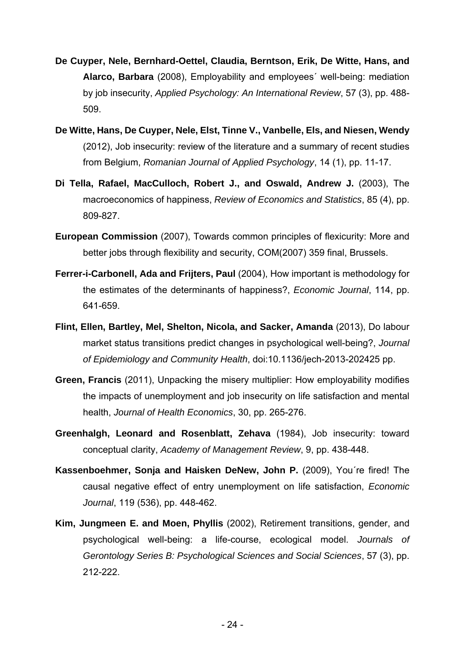- **De Cuyper, Nele, Bernhard-Oettel, Claudia, Berntson, Erik, De Witte, Hans, and Alarco, Barbara** (2008), Employability and employees´ well-being: mediation by job insecurity, *Applied Psychology: An International Review*, 57 (3), pp. 488- 509.
- **De Witte, Hans, De Cuyper, Nele, Elst, Tinne V., Vanbelle, Els, and Niesen, Wendy** (2012), Job insecurity: review of the literature and a summary of recent studies from Belgium, *Romanian Journal of Applied Psychology*, 14 (1), pp. 11-17.
- **Di Tella, Rafael, MacCulloch, Robert J., and Oswald, Andrew J.** (2003), The macroeconomics of happiness, *Review of Economics and Statistics*, 85 (4), pp. 809-827.
- **European Commission** (2007), Towards common principles of flexicurity: More and better jobs through flexibility and security, COM(2007) 359 final, Brussels.
- **Ferrer-i-Carbonell, Ada and Frijters, Paul** (2004), How important is methodology for the estimates of the determinants of happiness?, *Economic Journal*, 114, pp. 641-659.
- **Flint, Ellen, Bartley, Mel, Shelton, Nicola, and Sacker, Amanda** (2013), Do labour market status transitions predict changes in psychological well-being?, *Journal of Epidemiology and Community Health*, doi:10.1136/jech-2013-202425 pp.
- **Green, Francis** (2011), Unpacking the misery multiplier: How employability modifies the impacts of unemployment and job insecurity on life satisfaction and mental health, *Journal of Health Economics*, 30, pp. 265-276.
- **Greenhalgh, Leonard and Rosenblatt, Zehava** (1984), Job insecurity: toward conceptual clarity, *Academy of Management Review*, 9, pp. 438-448.
- **Kassenboehmer, Sonja and Haisken DeNew, John P.** (2009), You´re fired! The causal negative effect of entry unemployment on life satisfaction, *Economic Journal*, 119 (536), pp. 448-462.
- **Kim, Jungmeen E. and Moen, Phyllis** (2002), Retirement transitions, gender, and psychological well-being: a life-course, ecological model. *Journals of Gerontology Series B: Psychological Sciences and Social Sciences*, 57 (3), pp. 212-222.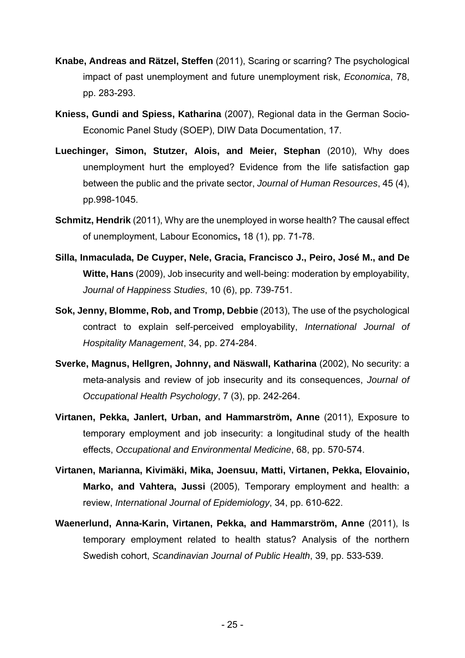- **Knabe, Andreas and Rätzel, Steffen** (2011), Scaring or scarring? The psychological impact of past unemployment and future unemployment risk, *Economica*, 78, pp. 283-293.
- **Kniess, Gundi and Spiess, Katharina** (2007), Regional data in the German Socio-Economic Panel Study (SOEP), DIW Data Documentation, 17.
- **Luechinger, Simon, Stutzer, Alois, and Meier, Stephan** (2010), Why does unemployment hurt the employed? Evidence from the life satisfaction gap between the public and the private sector, *Journal of Human Resources*, 45 (4), pp.998-1045.
- **Schmitz, Hendrik** (2011), Why are the unemployed in worse health? The causal effect of unemployment, Labour Economics**,** 18 (1), pp. 71-78.
- **Silla, Inmaculada, De Cuyper, Nele, Gracia, Francisco J., Peiro, José M., and De Witte, Hans** (2009), Job insecurity and well-being: moderation by employability, *Journal of Happiness Studies*, 10 (6), pp. 739-751.
- **Sok, Jenny, Blomme, Rob, and Tromp, Debbie** (2013), The use of the psychological contract to explain self-perceived employability, *International Journal of Hospitality Management*, 34, pp. 274-284.
- **Sverke, Magnus, Hellgren, Johnny, and Näswall, Katharina** (2002), No security: a meta-analysis and review of job insecurity and its consequences, *Journal of Occupational Health Psychology*, 7 (3), pp. 242-264.
- **Virtanen, Pekka, Janlert, Urban, and Hammarström, Anne** (2011), Exposure to temporary employment and job insecurity: a longitudinal study of the health effects, *Occupational and Environmental Medicine*, 68, pp. 570-574.
- **Virtanen, Marianna, Kivimäki, Mika, Joensuu, Matti, Virtanen, Pekka, Elovainio, Marko, and Vahtera, Jussi** (2005), Temporary employment and health: a review, *International Journal of Epidemiology*, 34, pp. 610-622.
- **Waenerlund, Anna-Karin, Virtanen, Pekka, and Hammarström, Anne** (2011), Is temporary employment related to health status? Analysis of the northern Swedish cohort, *Scandinavian Journal of Public Health*, 39, pp. 533-539.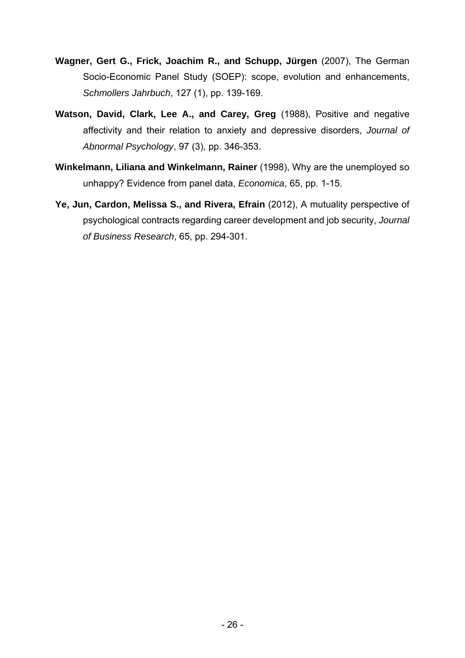- **Wagner, Gert G., Frick, Joachim R., and Schupp, Jürgen** (2007), The German Socio-Economic Panel Study (SOEP): scope, evolution and enhancements, *Schmollers Jahrbuch*, 127 (1), pp. 139-169.
- **Watson, David, Clark, Lee A., and Carey, Greg** (1988), Positive and negative affectivity and their relation to anxiety and depressive disorders, *Journal of Abnormal Psychology*, 97 (3), pp. 346-353.
- **Winkelmann, Liliana and Winkelmann, Rainer** (1998), Why are the unemployed so unhappy? Evidence from panel data, *Economica*, 65, pp. 1-15.
- **Ye, Jun, Cardon, Melissa S., and Rivera, Efrain** (2012), A mutuality perspective of psychological contracts regarding career development and job security, *Journal of Business Research*, 65, pp. 294-301.